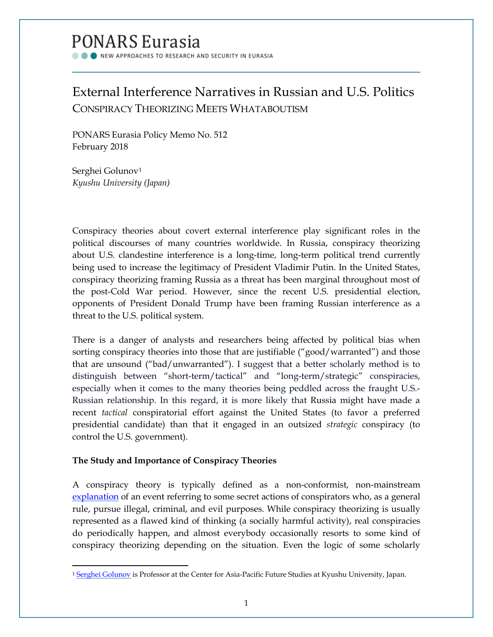# PONARS Eurasia

NEW APPROACHES TO RESEARCH AND SECURITY IN EURASIA

# External Interference Narratives in Russian and U.S. Politics CONSPIRACY THEORIZING MEETS WHATABOUTISM

PONARS Eurasia Policy Memo No. 512 February 2018

Serghei Golunov<sup>[1](#page-0-0)</sup> *Kyushu University (Japan)*

Conspiracy theories about covert external interference play significant roles in the political discourses of many countries worldwide. In Russia, conspiracy theorizing about U.S. clandestine interference is a long-time, long-term political trend currently being used to increase the legitimacy of President Vladimir Putin. In the United States, conspiracy theorizing framing Russia as a threat has been marginal throughout most of the post-Cold War period. However, since the recent U.S. presidential election, opponents of President Donald Trump have been framing Russian interference as a threat to the U.S. political system.

There is a danger of analysts and researchers being affected by political bias when sorting conspiracy theories into those that are justifiable ("good/warranted") and those that are unsound ("bad/unwarranted"). I suggest that a better scholarly method is to distinguish between "short-term/tactical" and "long-term/strategic" conspiracies, especially when it comes to the many theories being peddled across the fraught U.S.- Russian relationship. In this regard, it is more likely that Russia might have made a recent *tactical* conspiratorial effort against the United States (to favor a preferred presidential candidate) than that it engaged in an outsized *strategic* conspiracy (to control the U.S. government).

## **The Study and Importance of Conspiracy Theories**

l

A conspiracy theory is typically defined as a non-conformist, non-mainstream [explanation](http://www.worldcat.org/title/conspiracy-theories-the-philosophical-debate/oclc/254484128) of an event referring to some secret actions of conspirators who, as a general rule, pursue illegal, criminal, and evil purposes. While conspiracy theorizing is usually represented as a flawed kind of thinking (a socially harmful activity), real conspiracies do periodically happen, and almost everybody occasionally resorts to some kind of conspiracy theorizing depending on the situation. Even the logic of some scholarly

<span id="page-0-0"></span><sup>&</sup>lt;sup>1</sup> [Serghei Golunov](http://www.ponarseurasia.org/members/serghei-golunov) is Professor at the Center for Asia-Pacific Future Studies at Kyushu University, Japan.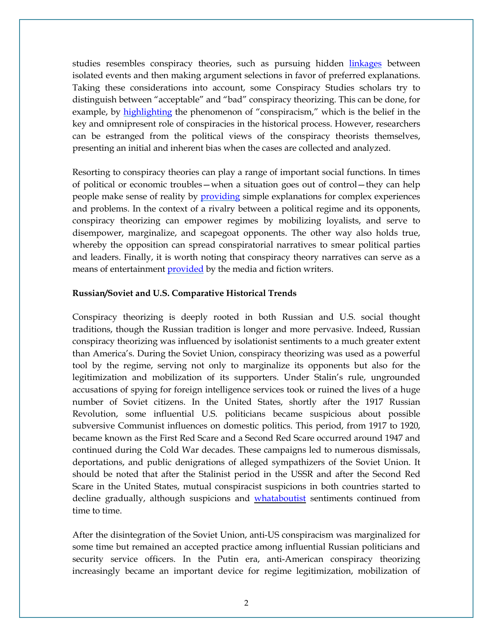studies resembles conspiracy theories, such as pursuing hidden [linkages](http://journals.sagepub.com/doi/pdf/10.1111/j.1467-954X.2000.tb03527.x) between isolated events and then making argument selections in favor of preferred explanations. Taking these considerations into account, some Conspiracy Studies scholars try to distinguish between "acceptable" and "bad" conspiracy theorizing. This can be done, for example, by [highlighting](https://searchworks.stanford.edu/view/1118205) the phenomenon of "conspiracism," which is the belief in the key and omnipresent role of conspiracies in the historical process. However, researchers can be estranged from the political views of the conspiracy theorists themselves, presenting an initial and inherent bias when the cases are collected and analyzed.

Resorting to conspiracy theories can play a range of important social functions. In times of political or economic troubles—when a situation goes out of control—they can help people make sense of reality by [providing](https://search.proquest.com/openview/c54271c6a109440ae44911f965aa9d0b/1?pq-origsite=gscholar&cbl=29587) simple explanations for complex experiences and problems. In the context of a rivalry between a political regime and its opponents, conspiracy theorizing can empower regimes by mobilizing loyalists, and serve to disempower, marginalize, and scapegoat opponents. The other way also holds true, whereby the opposition can spread conspiratorial narratives to smear political parties and leaders. Finally, it is worth noting that conspiracy theory narratives can serve as a means of entertainment [provided](https://books.google.com/books?hl=en&lr=&id=BpxdBwAAQBAJ&oi=fnd&pg=PP1&dq=Gray,+Matthew+(2010)+Conspiracy+theories+in+the+Arab+World:+Sources+and+Politics,+London:+Routledge.&ots=NtMUSCoHhB&sig=1Cxdj4jY-TAqSyhA2MsdO4597AU#v=onepage&q&f=false) by the media and fiction writers.

#### **Russian/Soviet and U.S. Comparative Historical Trends**

Conspiracy theorizing is deeply rooted in both Russian and U.S. social thought traditions, though the Russian tradition is longer and more pervasive. Indeed, Russian conspiracy theorizing was influenced by isolationist sentiments to a much greater extent than America's. During the Soviet Union, conspiracy theorizing was used as a powerful tool by the regime, serving not only to marginalize its opponents but also for the legitimization and mobilization of its supporters. Under Stalin's rule, ungrounded accusations of spying for foreign intelligence services took or ruined the lives of a huge number of Soviet citizens. In the United States, shortly after the 1917 Russian Revolution, some influential U.S. politicians became suspicious about possible subversive Communist influences on domestic politics. This period, from 1917 to 1920, became known as the First Red Scare and a Second Red Scare occurred around 1947 and continued during the Cold War decades. These campaigns led to numerous dismissals, deportations, and public denigrations of alleged sympathizers of the Soviet Union. It should be noted that after the Stalinist period in the USSR and after the Second Red Scare in the United States, mutual conspiracist suspicions in both countries started to decline gradually, although suspicions and [whataboutist](https://www.merriam-webster.com/words-at-play/whataboutism-origin-meaning) sentiments continued from time to time.

After the disintegration of the Soviet Union, anti-US conspiracism was marginalized for some time but remained an accepted practice among influential Russian politicians and security service officers. In the Putin era, anti-American conspiracy theorizing increasingly became an important device for regime legitimization, mobilization of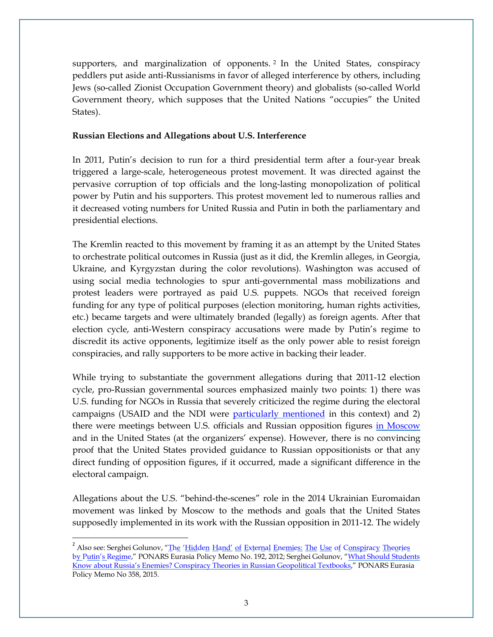supporters, and marginalization of opponents. [2](#page-2-0) In the United States, conspiracy peddlers put aside anti-Russianisms in favor of alleged interference by others, including Jews (so-called Zionist Occupation Government theory) and globalists (so-called World Government theory, which supposes that the United Nations "occupies" the United States).

### **Russian Elections and Allegations about U.S. Interference**

In 2011, Putin's decision to run for a third presidential term after a four-year break triggered a large-scale, heterogeneous protest movement. It was directed against the pervasive corruption of top officials and the long-lasting monopolization of political power by Putin and his supporters. This protest movement led to numerous rallies and it decreased voting numbers for United Russia and Putin in both the parliamentary and presidential elections.

The Kremlin reacted to this movement by framing it as an attempt by the United States to orchestrate political outcomes in Russia (just as it did, the Kremlin alleges, in Georgia, Ukraine, and Kyrgyzstan during the color revolutions). Washington was accused of using social media technologies to spur anti-governmental mass mobilizations and protest leaders were portrayed as paid U.S. puppets. NGOs that received foreign funding for any type of political purposes (election monitoring, human rights activities, etc.) became targets and were ultimately branded (legally) as foreign agents. After that election cycle, anti-Western conspiracy accusations were made by Putin's regime to discredit its active opponents, legitimize itself as the only power able to resist foreign conspiracies, and rally supporters to be more active in backing their leader.

While trying to substantiate the government allegations during that 2011-12 election cycle, pro-Russian governmental sources emphasized mainly two points: 1) there was U.S. funding for NGOs in Russia that severely criticized the regime during the electoral campaigns (USAID and the NDI were [particularly](http://evrazia.org/article/2010) mentioned in this context) and 2) there were meetings between U.S. officials and Russian opposition figures in [Moscow](http://actualcomment.ru/gosduma_kritikuet_makfola_za_vstrechu_s_oppozitsiey.html) and in the United States (at the organizers' expense). However, there is no convincing proof that the United States provided guidance to Russian oppositionists or that any direct funding of opposition figures, if it occurred, made a significant difference in the electoral campaign.

Allegations about the U.S. "behind-the-scenes" role in the 2014 Ukrainian Euromaidan movement was linked by Moscow to the methods and goals that the United States supposedly implemented in its work with the Russian opposition in 2011-12. The widely

<span id="page-2-0"></span><sup>&</sup>lt;sup>2</sup> Also see: Serghei Golunov, "<u>The 'Hidden Hand' of External Enemies: The Use</u> o<u>f Conspi</u>rac<u>y Theories</u> [by Putin's Regime,](http://www.ponarseurasia.org/memo/hidden-hand-external-enemies-use-conspiracy-theories-putins-regime)" PONARS Eurasia Policy Memo No. 192, 2012; Serghei Golunov, "What Should Students [Know about Russia's Enemies? Conspiracy Theories in Russian Geopolitical Textbooks,](http://www.ponarseurasia.org/memo/conspiracy-theories-russian-geopolitical)" PONARS Eurasia Policy Memo No 358, 2015.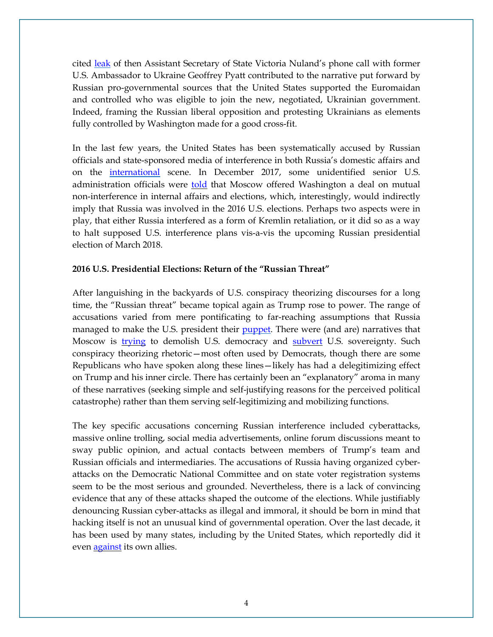cited [leak](https://kp.ua/politics/437445-sekretnyi-razghovor-nuland-s-paiettom-ob-ukrayne-pust-klychko-ostaetsia-vne-yhry) of then Assistant Secretary of State Victoria Nuland's phone call with former U.S. Ambassador to Ukraine Geoffrey Pyatt contributed to the narrative put forward by Russian pro-governmental sources that the United States supported the Euromaidan and controlled who was eligible to join the new, negotiated, Ukrainian government. Indeed, framing the Russian liberal opposition and protesting Ukrainians as elements fully controlled by Washington made for a good cross-fit.

In the last few years, the United States has been systematically accused by Russian officials and state-sponsored media of interference in both Russia's domestic affairs and on the [international](http://kremlin.ru/events/president/news/54688) scene. In December 2017, some unidentified senior U.S. administration officials were [told](https://www.buzzfeed.com/johnhudson/no-deal-how-secret-talks-with-russia-to-prevent-election?utm_term=.tv4mmLQPp#.cbmvvjoYg) that Moscow offered Washington a deal on mutual non-interference in internal affairs and elections, which, interestingly, would indirectly imply that Russia was involved in the 2016 U.S. elections. Perhaps two aspects were in play, that either Russia interfered as a form of Kremlin retaliation, or it did so as a way to halt supposed U.S. interference plans vis-a-vis the upcoming Russian presidential election of March 2018.

#### **2016 U.S. Presidential Elections: Return of the "Russian Threat"**

After languishing in the backyards of U.S. conspiracy theorizing discourses for a long time, the "Russian threat" became topical again as Trump rose to power. The range of accusations varied from mere pontificating to far-reaching assumptions that Russia managed to make the U.S. president their [puppet.](https://www.usatoday.com/story/opinion/readers/2017/07/11/trump-russian-agent/470445001/) There were (and are) narratives that Moscow is [trying](https://www.congress.gov/congressional-record/2017/7/14/house-section/article/h5871-5?q=%257B%2522search%2522%253A%255B%2522russia%2522%255D%257D&r=4) to demolish U.S. democracy and [subvert](https://www.republican.senate.gov/public/index.cfm/floor-updates?ID=173C73A4-D57F-4A7A-89E7-4333D505F560) U.S. sovereignty. Such conspiracy theorizing rhetoric—most often used by Democrats, though there are some Republicans who have spoken along these lines—likely has had a delegitimizing effect on Trump and his inner circle. There has certainly been an "explanatory" aroma in many of these narratives (seeking simple and self-justifying reasons for the perceived political catastrophe) rather than them serving self-legitimizing and mobilizing functions.

The key specific accusations concerning Russian interference included cyberattacks, massive online trolling, social media advertisements, online forum discussions meant to sway public opinion, and actual contacts between members of Trump's team and Russian officials and intermediaries. The accusations of Russia having organized cyberattacks on the Democratic National Committee and on state voter registration systems seem to be the most serious and grounded. Nevertheless, there is a lack of convincing evidence that any of these attacks shaped the outcome of the elections. While justifiably denouncing Russian cyber-attacks as illegal and immoral, it should be born in mind that hacking itself is not an unusual kind of governmental operation. Over the last decade, it has been used by many states, including by the United States, which reportedly did it even [against](https://www.juancole.com/2017/01/hacked-americas-allies.html) its own allies.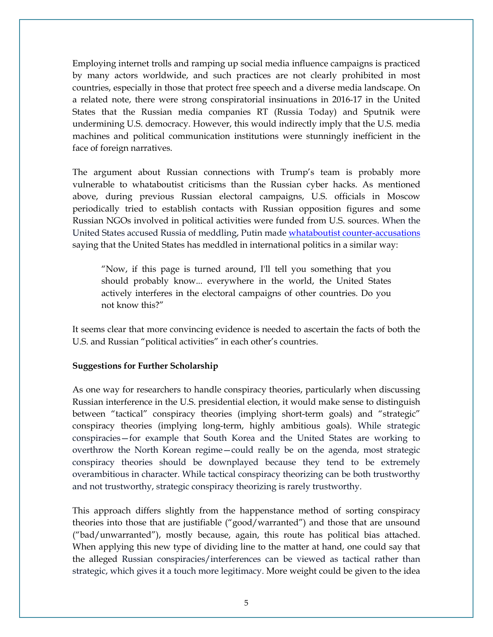Employing internet trolls and ramping up social media influence campaigns is practiced by many actors worldwide, and such practices are not clearly prohibited in most countries, especially in those that protect free speech and a diverse media landscape. On a related note, there were strong conspiratorial insinuations in 2016-17 in the United States that the Russian media companies RT (Russia Today) and Sputnik were undermining U.S. democracy. However, this would indirectly imply that the U.S. media machines and political communication institutions were stunningly inefficient in the face of foreign narratives.

The argument about Russian connections with Trump's team is probably more vulnerable to whataboutist criticisms than the Russian cyber hacks. As mentioned above, during previous Russian electoral campaigns, U.S. officials in Moscow periodically tried to establish contacts with Russian opposition figures and some Russian NGOs involved in political activities were funded from U.S. sources. When the United States accused Russia of meddling, Putin made whataboutist [counter-accusations](http://kremlin.ru/events/president/news/54688) saying that the United States has meddled in international politics in a similar way:

"Now, if this page is turned around, I'll tell you something that you should probably know... everywhere in the world, the United States actively interferes in the electoral campaigns of other countries. Do you not know this?"

It seems clear that more convincing evidence is needed to ascertain the facts of both the U.S. and Russian "political activities" in each other's countries.

### **Suggestions for Further Scholarship**

As one way for researchers to handle conspiracy theories, particularly when discussing Russian interference in the U.S. presidential election, it would make sense to distinguish between "tactical" conspiracy theories (implying short-term goals) and "strategic" conspiracy theories (implying long-term, highly ambitious goals). While strategic conspiracies—for example that South Korea and the United States are working to overthrow the North Korean regime—could really be on the agenda, most strategic conspiracy theories should be downplayed because they tend to be extremely overambitious in character. While tactical conspiracy theorizing can be both trustworthy and not trustworthy, strategic conspiracy theorizing is rarely trustworthy.

This approach differs slightly from the happenstance method of sorting conspiracy theories into those that are justifiable ("good/warranted") and those that are unsound ("bad/unwarranted"), mostly because, again, this route has political bias attached. When applying this new type of dividing line to the matter at hand, one could say that the alleged Russian conspiracies/interferences can be viewed as tactical rather than strategic, which gives it a touch more legitimacy. More weight could be given to the idea